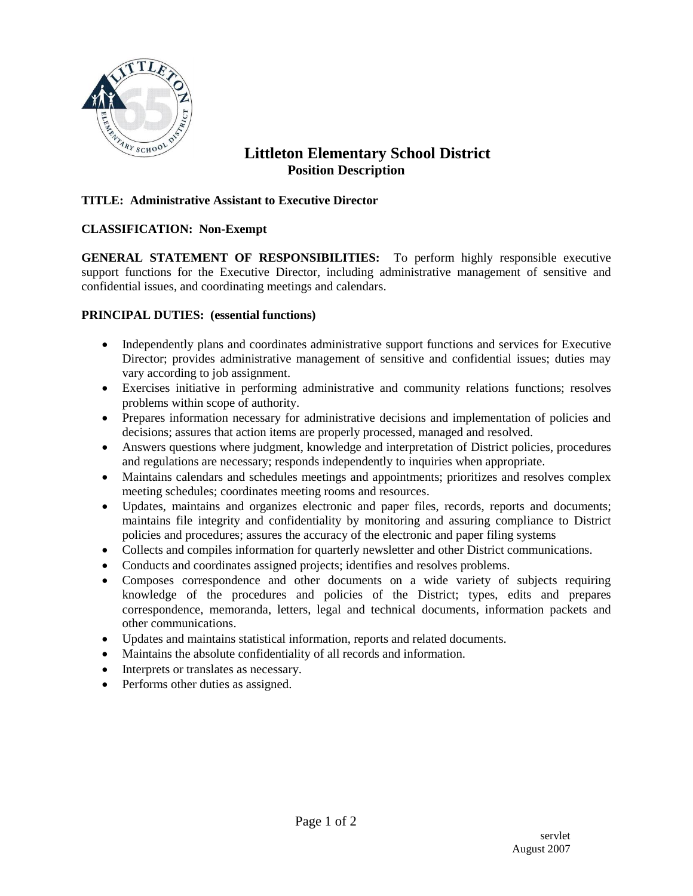

# **Littleton Elementary School District Position Description**

## **TITLE: Administrative Assistant to Executive Director**

#### **CLASSIFICATION: Non-Exempt**

**GENERAL STATEMENT OF RESPONSIBILITIES:** To perform highly responsible executive support functions for the Executive Director, including administrative management of sensitive and confidential issues, and coordinating meetings and calendars.

#### **PRINCIPAL DUTIES: (essential functions)**

- Independently plans and coordinates administrative support functions and services for Executive Director; provides administrative management of sensitive and confidential issues; duties may vary according to job assignment.
- Exercises initiative in performing administrative and community relations functions; resolves problems within scope of authority.
- Prepares information necessary for administrative decisions and implementation of policies and decisions; assures that action items are properly processed, managed and resolved.
- Answers questions where judgment, knowledge and interpretation of District policies, procedures and regulations are necessary; responds independently to inquiries when appropriate.
- Maintains calendars and schedules meetings and appointments; prioritizes and resolves complex meeting schedules; coordinates meeting rooms and resources.
- Updates, maintains and organizes electronic and paper files, records, reports and documents; maintains file integrity and confidentiality by monitoring and assuring compliance to District policies and procedures; assures the accuracy of the electronic and paper filing systems
- Collects and compiles information for quarterly newsletter and other District communications.
- Conducts and coordinates assigned projects; identifies and resolves problems.
- Composes correspondence and other documents on a wide variety of subjects requiring knowledge of the procedures and policies of the District; types, edits and prepares correspondence, memoranda, letters, legal and technical documents, information packets and other communications.
- Updates and maintains statistical information, reports and related documents.
- Maintains the absolute confidentiality of all records and information.
- Interprets or translates as necessary.
- Performs other duties as assigned.